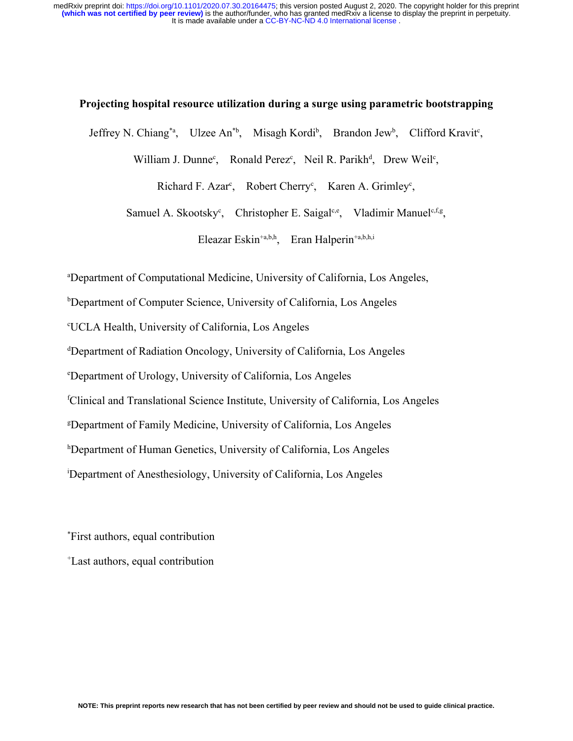### **Projecting hospital resource utilization during a surge using parametric bootstrapping**

Jeffrey N. Chiang<sup>\*a</sup>, Ulzee An<sup>\*b</sup>, Misagh Kordi<sup>b</sup>, Brandon Jew<sup>b</sup>, Clifford Kravit<sup>c</sup>,

William J. Dunne<sup>c</sup>, Ronald Perez<sup>c</sup>, Neil R. Parikh<sup>d</sup>, Drew Weil<sup>c</sup>,

Richard F. Azar<sup>c</sup>, Robert Cherry<sup>c</sup>, Karen A. Grimley<sup>c</sup>,

Samuel A. Skootsky<sup>c</sup>, Christopher E. Saigal<sup>c,e</sup>, Vladimir Manuel<sup>c,f,g</sup>,

Eleazar Eskin<sup>+a,b,h</sup>, Eran Halperin<sup>+a,b,h,i</sup>

<sup>a</sup>Department of Computational Medicine, University of California, Los Angeles,

<sup>b</sup>Department of Computer Science, University of California, Los Angeles

<sup>c</sup>UCLA Health, University of California, Los Angeles

<sup>d</sup>Department of Radiation Oncology, University of California, Los Angeles

<sup>e</sup>Department of Urology, University of California, Los Angeles

<sup>f</sup>Clinical and Translational Science Institute, University of California, Los Angeles

<sup>g</sup>Department of Family Medicine, University of California, Los Angeles

<sup>h</sup>Department of Human Genetics, University of California, Los Angeles

<sup>i</sup>Department of Anesthesiology, University of California, Los Angeles

\*First authors, equal contribution

<sup>+</sup>Last authors, equal contribution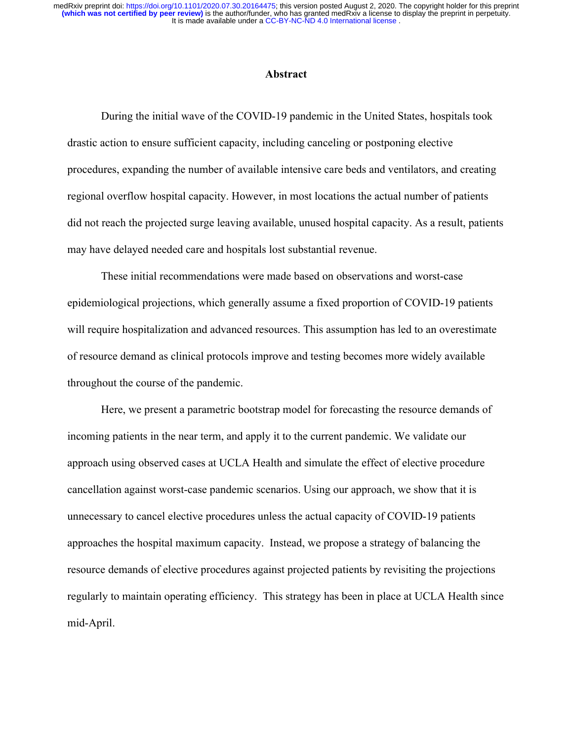### **Abstract**

During the initial wave of the COVID-19 pandemic in the United States, hospitals took drastic action to ensure sufficient capacity, including canceling or postponing elective procedures, expanding the number of available intensive care beds and ventilators, and creating regional overflow hospital capacity. However, in most locations the actual number of patients did not reach the projected surge leaving available, unused hospital capacity. As a result, patients may have delayed needed care and hospitals lost substantial revenue.

These initial recommendations were made based on observations and worst-case epidemiological projections, which generally assume a fixed proportion of COVID-19 patients will require hospitalization and advanced resources. This assumption has led to an overestimate of resource demand as clinical protocols improve and testing becomes more widely available throughout the course of the pandemic.

Here, we present a parametric bootstrap model for forecasting the resource demands of incoming patients in the near term, and apply it to the current pandemic. We validate our approach using observed cases at UCLA Health and simulate the effect of elective procedure cancellation against worst-case pandemic scenarios. Using our approach, we show that it is unnecessary to cancel elective procedures unless the actual capacity of COVID-19 patients approaches the hospital maximum capacity. Instead, we propose a strategy of balancing the resource demands of elective procedures against projected patients by revisiting the projections regularly to maintain operating efficiency. This strategy has been in place at UCLA Health since mid-April.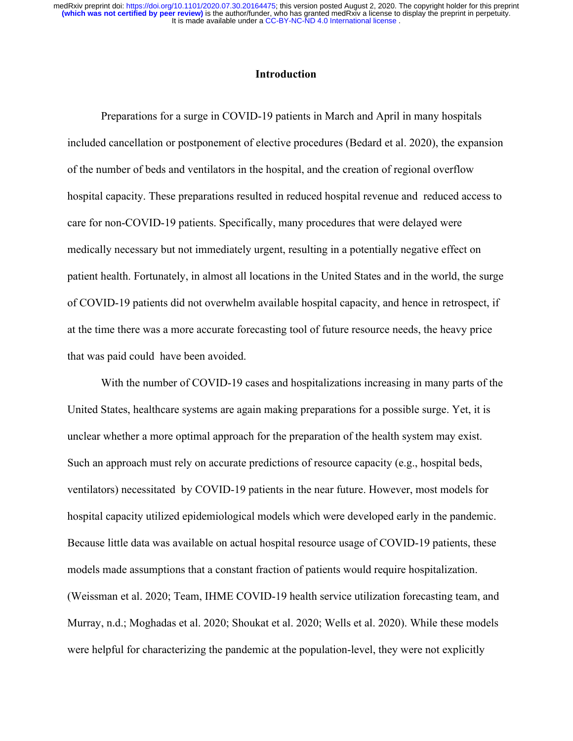# **Introduction**

Preparations for a surge in COVID-19 patients in March and April in many hospitals included cancellation or postponement of elective procedures (Bedard et al. 2020), the expansion of the number of beds and ventilators in the hospital, and the creation of regional overflow hospital capacity. These preparations resulted in reduced hospital revenue and reduced access to care for non-COVID-19 patients. Specifically, many procedures that were delayed were medically necessary but not immediately urgent, resulting in a potentially negative effect on patient health. Fortunately, in almost all locations in the United States and in the world, the surge of COVID-19 patients did not overwhelm available hospital capacity, and hence in retrospect, if at the time there was a more accurate forecasting tool of future resource needs, the heavy price that was paid could have been avoided.

With the number of COVID-19 cases and hospitalizations increasing in many parts of the United States, healthcare systems are again making preparations for a possible surge. Yet, it is unclear whether a more optimal approach for the preparation of the health system may exist. Such an approach must rely on accurate predictions of resource capacity (e.g., hospital beds, ventilators) necessitated by COVID-19 patients in the near future. However, most models for hospital capacity utilized epidemiological models which were developed early in the pandemic. Because little data was available on actual hospital resource usage of COVID-19 patients, these models made assumptions that a constant fraction of patients would require hospitalization. [\(Weissman et al. 2020; Team, IHME COVID-19 health service utilization forecasting team, and](https://paperpile.com/c/3ZjPue/BTvG+qi3L+LjXA+svbZ+7e7F) [Murray, n.d.; Moghadas et al. 2020; Shoukat et al. 2020; Wells et al. 2020\)](https://paperpile.com/c/3ZjPue/BTvG+qi3L+LjXA+svbZ+7e7F). While these models were helpful for characterizing the pandemic at the population-level, they were not explicitly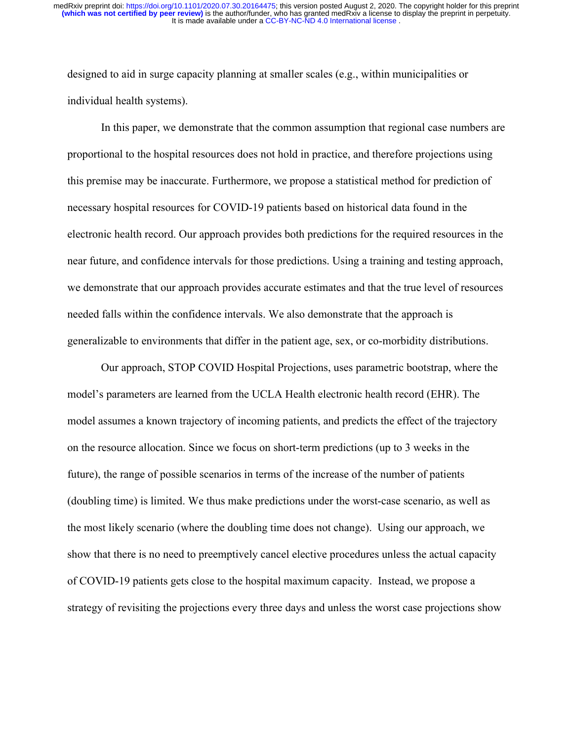designed to aid in surge capacity planning at smaller scales (e.g., within municipalities or individual health systems).

In this paper, we demonstrate that the common assumption that regional case numbers are proportional to the hospital resources does not hold in practice, and therefore projections using this premise may be inaccurate. Furthermore, we propose a statistical method for prediction of necessary hospital resources for COVID-19 patients based on historical data found in the electronic health record. Our approach provides both predictions for the required resources in the near future, and confidence intervals for those predictions. Using a training and testing approach, we demonstrate that our approach provides accurate estimates and that the true level of resources needed falls within the confidence intervals. We also demonstrate that the approach is generalizable to environments that differ in the patient age, sex, or co-morbidity distributions.

Our approach, STOP COVID Hospital Projections, uses parametric bootstrap, where the model's parameters are learned from the UCLA Health electronic health record (EHR). The model assumes a known trajectory of incoming patients, and predicts the effect of the trajectory on the resource allocation. Since we focus on short-term predictions (up to 3 weeks in the future), the range of possible scenarios in terms of the increase of the number of patients (doubling time) is limited. We thus make predictions under the worst-case scenario, as well as the most likely scenario (where the doubling time does not change). Using our approach, we show that there is no need to preemptively cancel elective procedures unless the actual capacity of COVID-19 patients gets close to the hospital maximum capacity. Instead, we propose a strategy of revisiting the projections every three days and unless the worst case projections show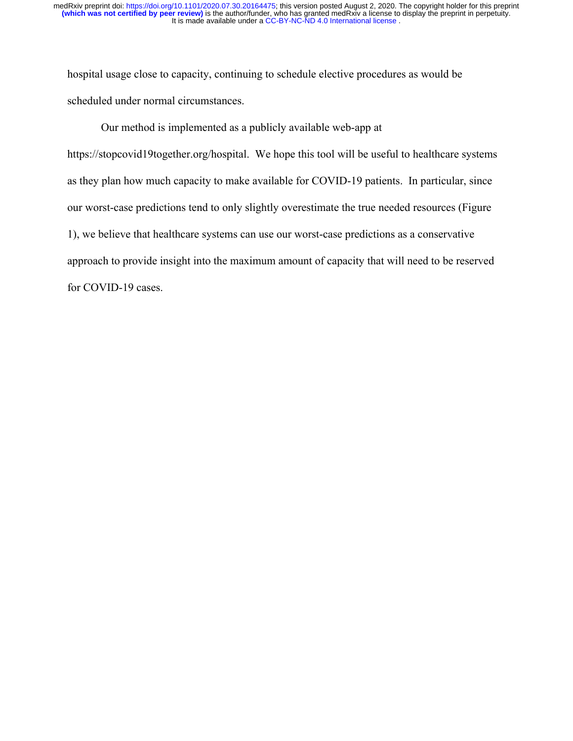hospital usage close to capacity, continuing to schedule elective procedures as would be scheduled under normal circumstances.

Our method is implemented as a publicly available web-app at https://stopcovid19together.org/hospital. We hope this tool will be useful to healthcare systems as they plan how much capacity to make available for COVID-19 patients. In particular, since our worst-case predictions tend to only slightly overestimate the true needed resources (Figure 1), we believe that healthcare systems can use our worst-case predictions as a conservative approach to provide insight into the maximum amount of capacity that will need to be reserved for COVID-19 cases.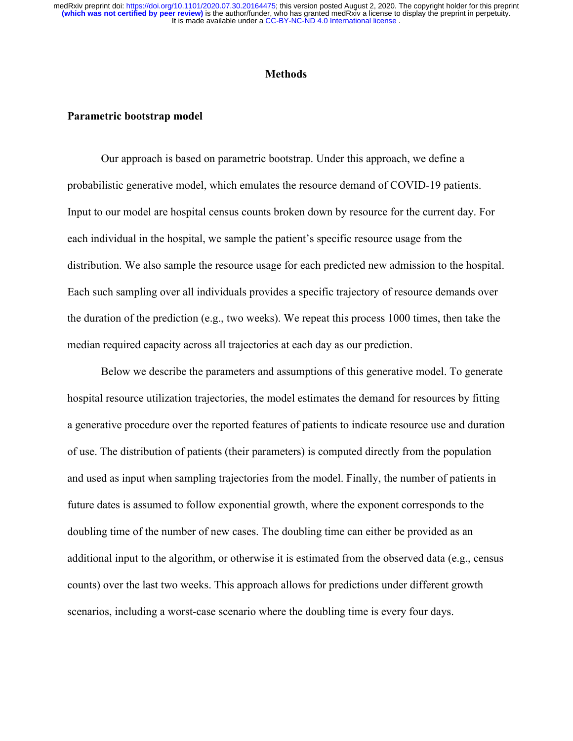#### **Methods**

#### **Parametric bootstrap model**

Our approach is based on parametric bootstrap. Under this approach, we define a probabilistic generative model, which emulates the resource demand of COVID-19 patients. Input to our model are hospital census counts broken down by resource for the current day. For each individual in the hospital, we sample the patient's specific resource usage from the distribution. We also sample the resource usage for each predicted new admission to the hospital. Each such sampling over all individuals provides a specific trajectory of resource demands over the duration of the prediction (e.g., two weeks). We repeat this process 1000 times, then take the median required capacity across all trajectories at each day as our prediction.

Below we describe the parameters and assumptions of this generative model. To generate hospital resource utilization trajectories, the model estimates the demand for resources by fitting a generative procedure over the reported features of patients to indicate resource use and duration of use. The distribution of patients (their parameters) is computed directly from the population and used as input when sampling trajectories from the model. Finally, the number of patients in future dates is assumed to follow exponential growth, where the exponent corresponds to the doubling time of the number of new cases. The doubling time can either be provided as an additional input to the algorithm, or otherwise it is estimated from the observed data (e.g., census counts) over the last two weeks. This approach allows for predictions under different growth scenarios, including a worst-case scenario where the doubling time is every four days.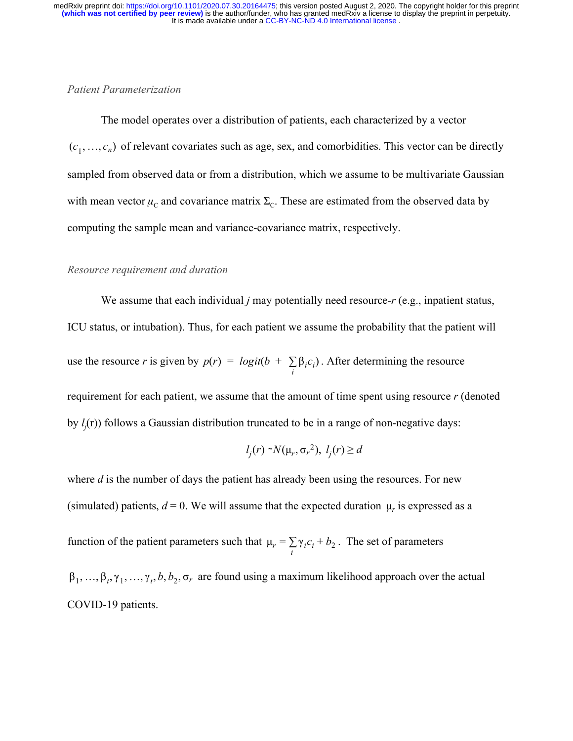### *Patient Parameterization*

The model operates over a distribution of patients, each characterized by a vector  $(c_1, \ldots, c_n)$  of relevant covariates such as age, sex, and comorbidities. This vector can be directly sampled from observed data or from a distribution, which we assume to be multivariate Gaussian with mean vector  $\mu_c$  and covariance matrix  $\Sigma_c$ . These are estimated from the observed data by computing the sample mean and variance-covariance matrix, respectively.

#### *Resource requirement and duration*

We assume that each individual *j* may potentially need resource-*r* (e.g., inpatient status, ICU status, or intubation). Thus, for each patient we assume the probability that the patient will use the resource *r* is given by  $p(r) = logit(b + \sum \beta_i c_i)$ . After determining the resource  $\sum_{i}$  β<sub>*i*</sub>  $c$ <sub>*i*</sub> requirement for each patient, we assume that the amount of time spent using resource *r* (denoted by  $l_j(r)$ ) follows a Gaussian distribution truncated to be in a range of non-negative days:

$$
l_j(r) \sim N(\mu_r, \sigma_r^2), l_j(r) \ge d
$$

where *d* is the number of days the patient has already been using the resources. For new (simulated) patients,  $d = 0$ . We will assume that the expected duration  $\mu$ , is expressed as a function of the patient parameters such that  $\mu_r = \sum_i \gamma_i c_i + b_2$ . The set of parameters  $\beta_1, ..., \beta_t, \gamma_1, ..., \gamma_t, b, b_2, \sigma_r$  are found using a maximum likelihood approach over the actual COVID-19 patients.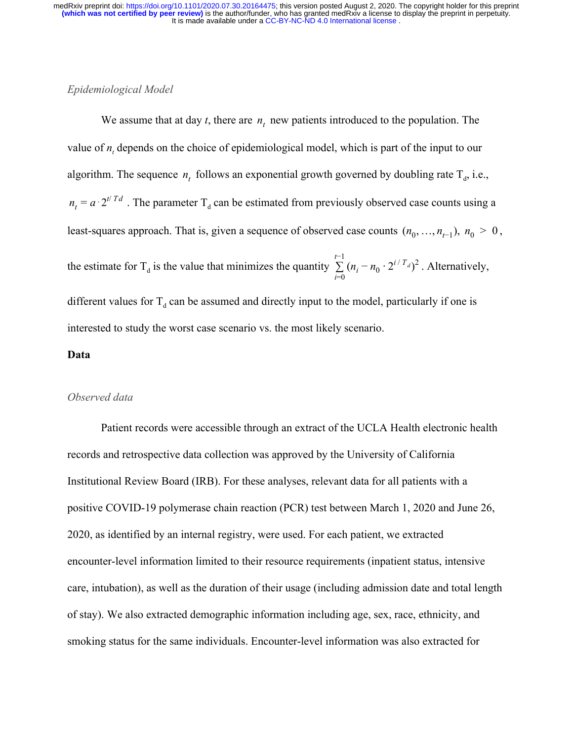### *Epidemiological Model*

We assume that at day *t*, there are  $n_t$  new patients introduced to the population. The value of  $n_t$  depends on the choice of epidemiological model, which is part of the input to our algorithm. The sequence  $n_t$  follows an exponential growth governed by doubling rate  $T_d$ , i.e.,  $n_t = a \cdot 2^{t/Td}$ . The parameter T<sub>d</sub> can be estimated from previously observed case counts using a least-squares approach. That is, given a sequence of observed case counts  $(n_0, ..., n_{t-1}), n_0 > 0$ , the estimate for T<sub>d</sub> is the value that minimizes the quantity  $\sum (n_i - n_0 \cdot 2^{i/T_d})^2$ . Alternatively, *t*−1  $\sum_{i=0}^{N} (n_i - n_0 \cdot 2^{i/T_d})^2$ different values for  $T_d$  can be assumed and directly input to the model, particularly if one is interested to study the worst case scenario vs. the most likely scenario.

#### **Data**

#### *Observed data*

Patient records were accessible through an extract of the UCLA Health electronic health records and retrospective data collection was approved by the University of California Institutional Review Board (IRB). For these analyses, relevant data for all patients with a positive COVID-19 polymerase chain reaction (PCR) test between March 1, 2020 and June 26, 2020, as identified by an internal registry, were used. For each patient, we extracted encounter-level information limited to their resource requirements (inpatient status, intensive care, intubation), as well as the duration of their usage (including admission date and total length of stay). We also extracted demographic information including age, sex, race, ethnicity, and smoking status for the same individuals. Encounter-level information was also extracted for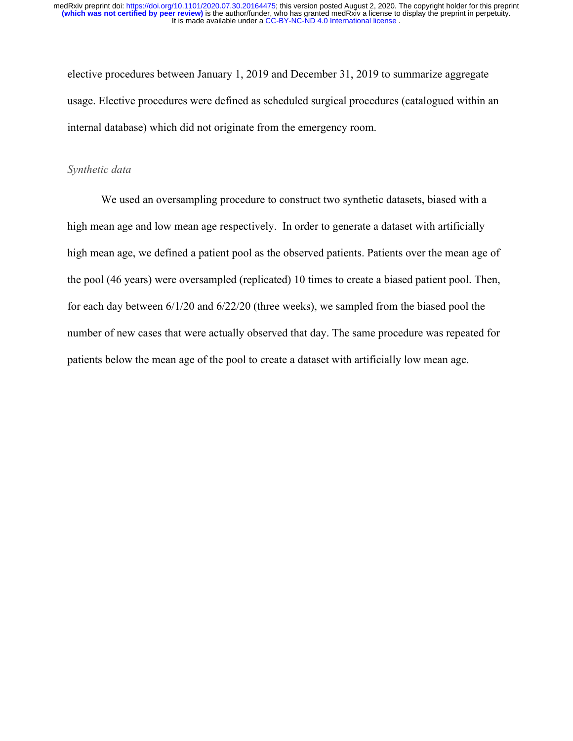elective procedures between January 1, 2019 and December 31, 2019 to summarize aggregate usage. Elective procedures were defined as scheduled surgical procedures (catalogued within an internal database) which did not originate from the emergency room.

#### *Synthetic data*

We used an oversampling procedure to construct two synthetic datasets, biased with a high mean age and low mean age respectively. In order to generate a dataset with artificially high mean age, we defined a patient pool as the observed patients. Patients over the mean age of the pool (46 years) were oversampled (replicated) 10 times to create a biased patient pool. Then, for each day between 6/1/20 and 6/22/20 (three weeks), we sampled from the biased pool the number of new cases that were actually observed that day. The same procedure was repeated for patients below the mean age of the pool to create a dataset with artificially low mean age.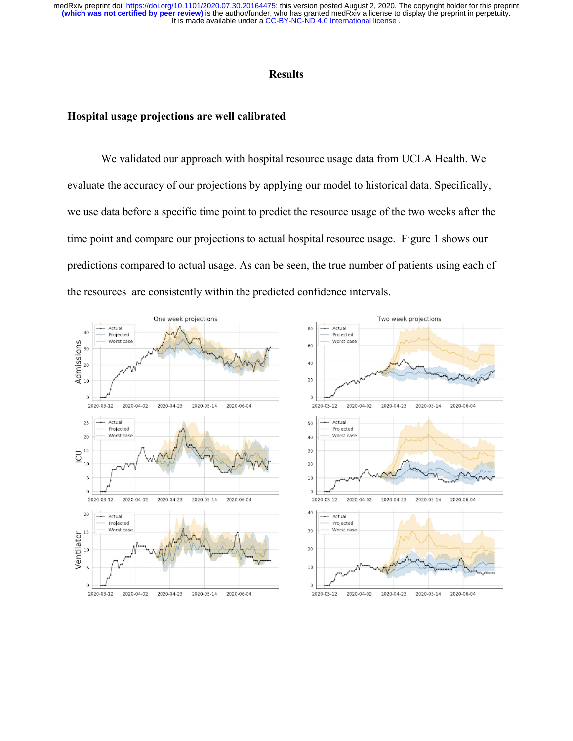It is made available under a [CC-BY-NC-ND 4.0 International license](http://creativecommons.org/licenses/by-nc-nd/4.0/) . **(which was not certified by peer review)** is the author/funder, who has granted medRxiv a license to display the preprint in perpetuity. medRxiv preprint doi: [https://doi.org/10.1101/2020.07.30.20164475;](https://doi.org/10.1101/2020.07.30.20164475) this version posted August 2, 2020. The copyright holder for this preprint

## **Results**

#### **Hospital usage projections are well calibrated**

We validated our approach with hospital resource usage data from UCLA Health. We evaluate the accuracy of our projections by applying our model to historical data. Specifically, we use data before a specific time point to predict the resource usage of the two weeks after the time point and compare our projections to actual hospital resource usage. Figure 1 shows our predictions compared to actual usage. As can be seen, the true number of patients using each of the resources are consistently within the predicted confidence intervals.

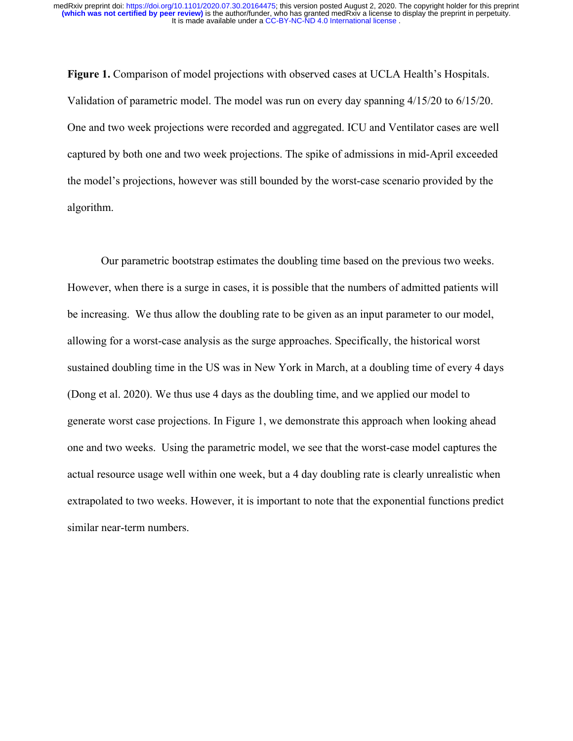**Figure 1.** Comparison of model projections with observed cases at UCLA Health's Hospitals. Validation of parametric model. The model was run on every day spanning 4/15/20 to 6/15/20. One and two week projections were recorded and aggregated. ICU and Ventilator cases are well captured by both one and two week projections. The spike of admissions in mid-April exceeded the model's projections, however was still bounded by the worst-case scenario provided by the algorithm.

Our parametric bootstrap estimates the doubling time based on the previous two weeks. However, when there is a surge in cases, it is possible that the numbers of admitted patients will be increasing. We thus allow the doubling rate to be given as an input parameter to our model, allowing for a worst-case analysis as the surge approaches. Specifically, the historical worst sustained doubling time in the US was in New York in March, at a doubling time of every 4 days (Dong et al. 2020). We thus use 4 days as the doubling time, and we applied our model to generate worst case projections. In Figure 1, we demonstrate this approach when looking ahead one and two weeks. Using the parametric model, we see that the worst-case model captures the actual resource usage well within one week, but a 4 day doubling rate is clearly unrealistic when extrapolated to two weeks. However, it is important to note that the exponential functions predict similar near-term numbers.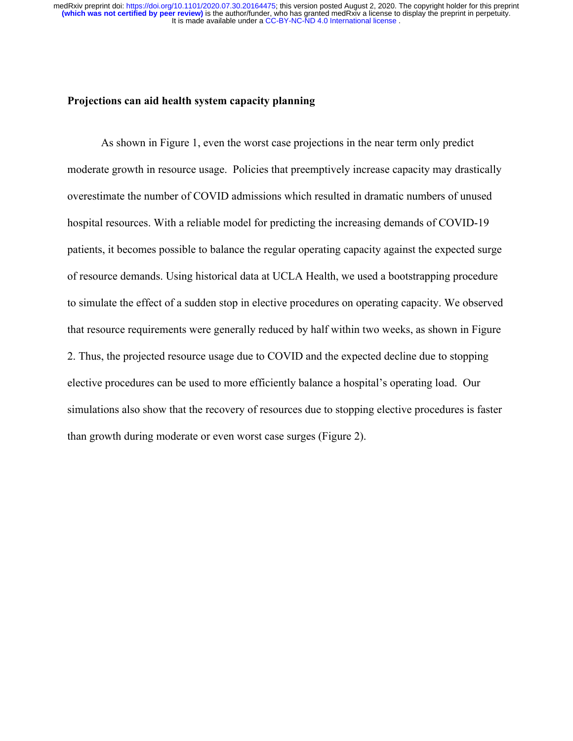### **Projections can aid health system capacity planning**

As shown in Figure 1, even the worst case projections in the near term only predict moderate growth in resource usage. Policies that preemptively increase capacity may drastically overestimate the number of COVID admissions which resulted in dramatic numbers of unused hospital resources. With a reliable model for predicting the increasing demands of COVID-19 patients, it becomes possible to balance the regular operating capacity against the expected surge of resource demands. Using historical data at UCLA Health, we used a bootstrapping procedure to simulate the effect of a sudden stop in elective procedures on operating capacity. We observed that resource requirements were generally reduced by half within two weeks, as shown in Figure 2. Thus, the projected resource usage due to COVID and the expected decline due to stopping elective procedures can be used to more efficiently balance a hospital's operating load. Our simulations also show that the recovery of resources due to stopping elective procedures is faster than growth during moderate or even worst case surges (Figure 2).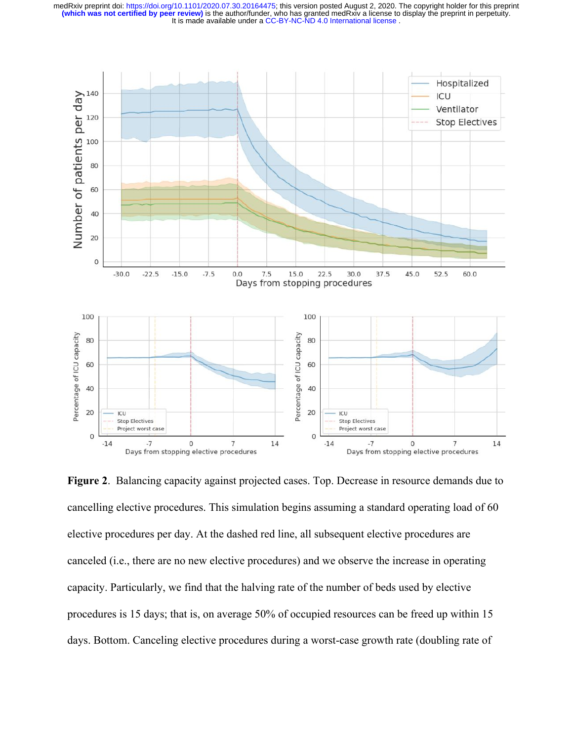

**Figure 2**. Balancing capacity against projected cases. Top. Decrease in resource demands due to cancelling elective procedures. This simulation begins assuming a standard operating load of 60 elective procedures per day. At the dashed red line, all subsequent elective procedures are canceled (i.e., there are no new elective procedures) and we observe the increase in operating capacity. Particularly, we find that the halving rate of the number of beds used by elective procedures is 15 days; that is, on average 50% of occupied resources can be freed up within 15 days. Bottom. Canceling elective procedures during a worst-case growth rate (doubling rate of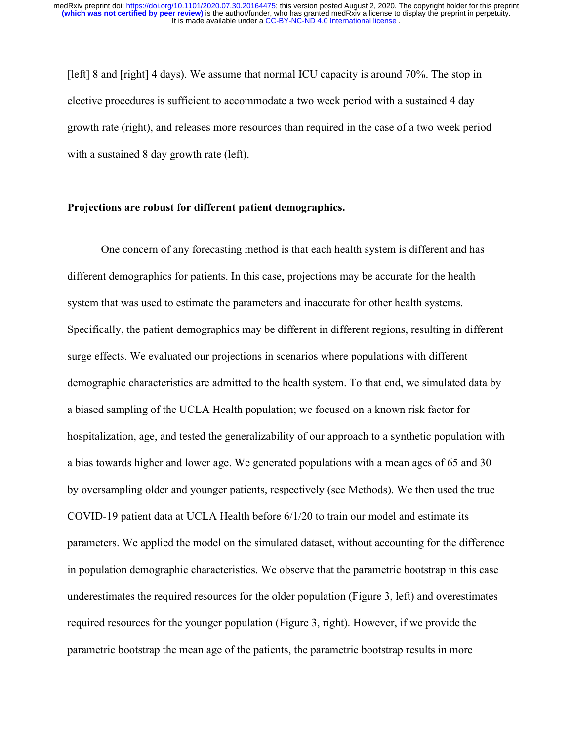[left] 8 and [right] 4 days). We assume that normal ICU capacity is around 70%. The stop in elective procedures is sufficient to accommodate a two week period with a sustained 4 day growth rate (right), and releases more resources than required in the case of a two week period with a sustained 8 day growth rate (left).

### **Projections are robust for different patient demographics.**

One concern of any forecasting method is that each health system is different and has different demographics for patients. In this case, projections may be accurate for the health system that was used to estimate the parameters and inaccurate for other health systems. Specifically, the patient demographics may be different in different regions, resulting in different surge effects. We evaluated our projections in scenarios where populations with different demographic characteristics are admitted to the health system. To that end, we simulated data by a biased sampling of the UCLA Health population; we focused on a known risk factor for hospitalization, age, and tested the generalizability of our approach to a synthetic population with a bias towards higher and lower age. We generated populations with a mean ages of 65 and 30 by oversampling older and younger patients, respectively (see Methods). We then used the true COVID-19 patient data at UCLA Health before 6/1/20 to train our model and estimate its parameters. We applied the model on the simulated dataset, without accounting for the difference in population demographic characteristics. We observe that the parametric bootstrap in this case underestimates the required resources for the older population (Figure 3, left) and overestimates required resources for the younger population (Figure 3, right). However, if we provide the parametric bootstrap the mean age of the patients, the parametric bootstrap results in more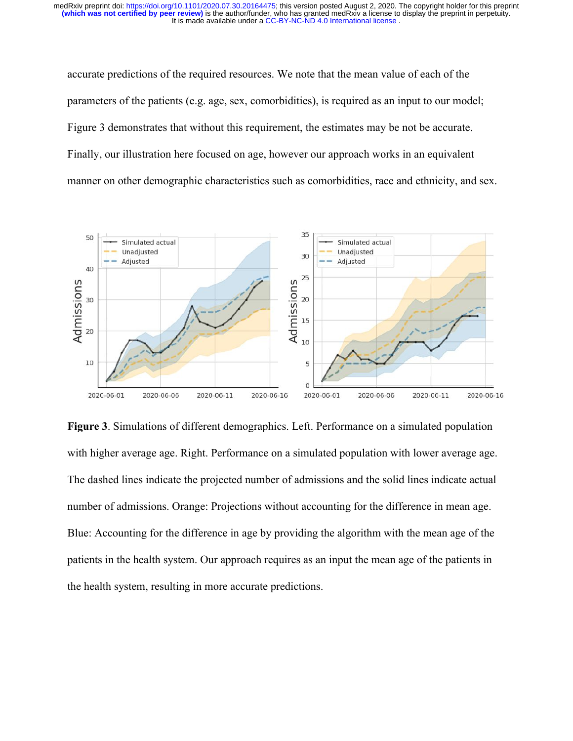accurate predictions of the required resources. We note that the mean value of each of the parameters of the patients (e.g. age, sex, comorbidities), is required as an input to our model; Figure 3 demonstrates that without this requirement, the estimates may be not be accurate. Finally, our illustration here focused on age, however our approach works in an equivalent manner on other demographic characteristics such as comorbidities, race and ethnicity, and sex.



**Figure 3**. Simulations of different demographics. Left. Performance on a simulated population with higher average age. Right. Performance on a simulated population with lower average age. The dashed lines indicate the projected number of admissions and the solid lines indicate actual number of admissions. Orange: Projections without accounting for the difference in mean age. Blue: Accounting for the difference in age by providing the algorithm with the mean age of the patients in the health system. Our approach requires as an input the mean age of the patients in the health system, resulting in more accurate predictions.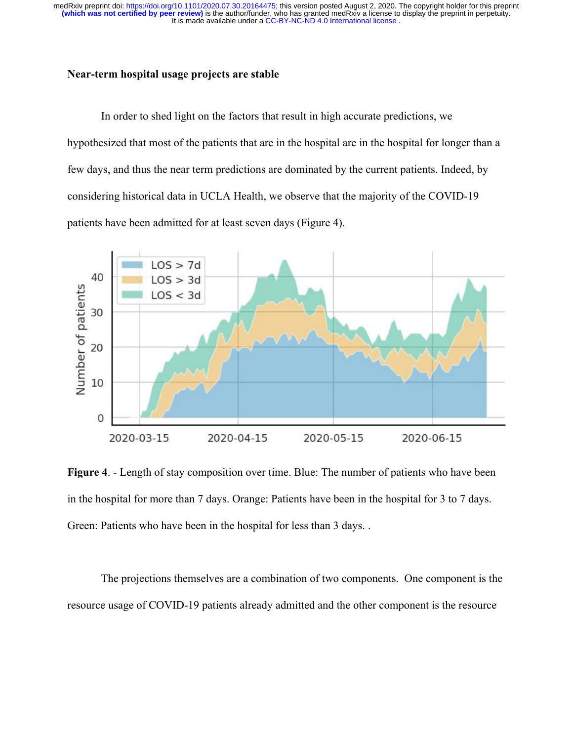# **Near-term hospital usage projects are stable**

In order to shed light on the factors that result in high accurate predictions, we hypothesized that most of the patients that are in the hospital are in the hospital for longer than a few days, and thus the near term predictions are dominated by the current patients. Indeed, by considering historical data in UCLA Health, we observe that the majority of the COVID-19 patients have been admitted for at least seven days (Figure 4).



**Figure 4**. - Length of stay composition over time. Blue: The number of patients who have been in the hospital for more than 7 days. Orange: Patients have been in the hospital for 3 to 7 days. Green: Patients who have been in the hospital for less than 3 days. .

The projections themselves are a combination of two components. One component is the resource usage of COVID-19 patients already admitted and the other component is the resource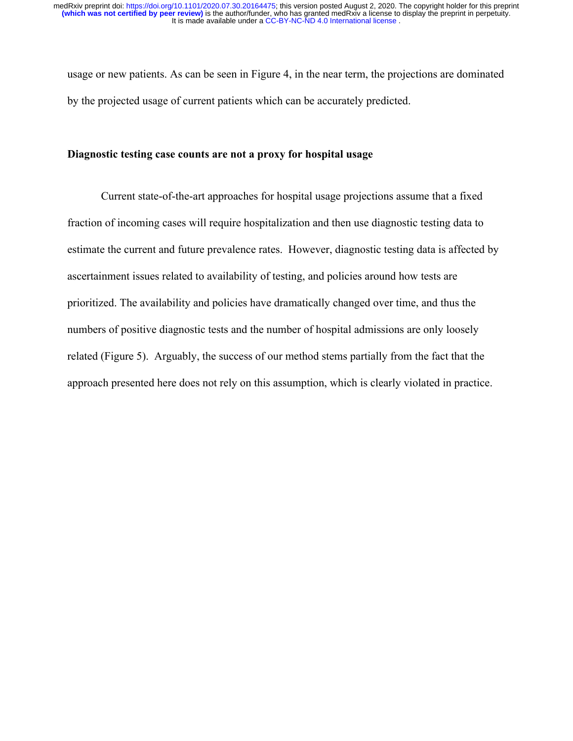usage or new patients. As can be seen in Figure 4, in the near term, the projections are dominated by the projected usage of current patients which can be accurately predicted.

# **Diagnostic testing case counts are not a proxy for hospital usage**

Current state-of-the-art approaches for hospital usage projections assume that a fixed fraction of incoming cases will require hospitalization and then use diagnostic testing data to estimate the current and future prevalence rates. However, diagnostic testing data is affected by ascertainment issues related to availability of testing, and policies around how tests are prioritized. The availability and policies have dramatically changed over time, and thus the numbers of positive diagnostic tests and the number of hospital admissions are only loosely related (Figure 5). Arguably, the success of our method stems partially from the fact that the approach presented here does not rely on this assumption, which is clearly violated in practice.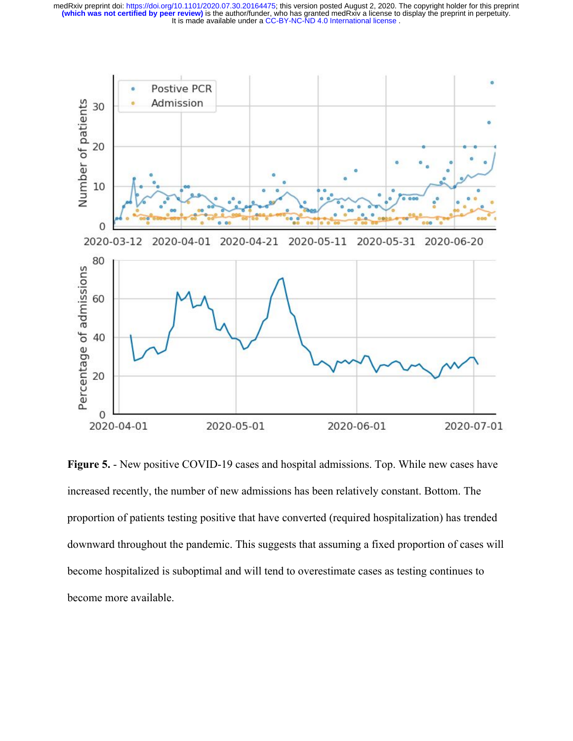

**Figure 5.** - New positive COVID-19 cases and hospital admissions. Top. While new cases have increased recently, the number of new admissions has been relatively constant. Bottom. The proportion of patients testing positive that have converted (required hospitalization) has trended downward throughout the pandemic. This suggests that assuming a fixed proportion of cases will become hospitalized is suboptimal and will tend to overestimate cases as testing continues to become more available.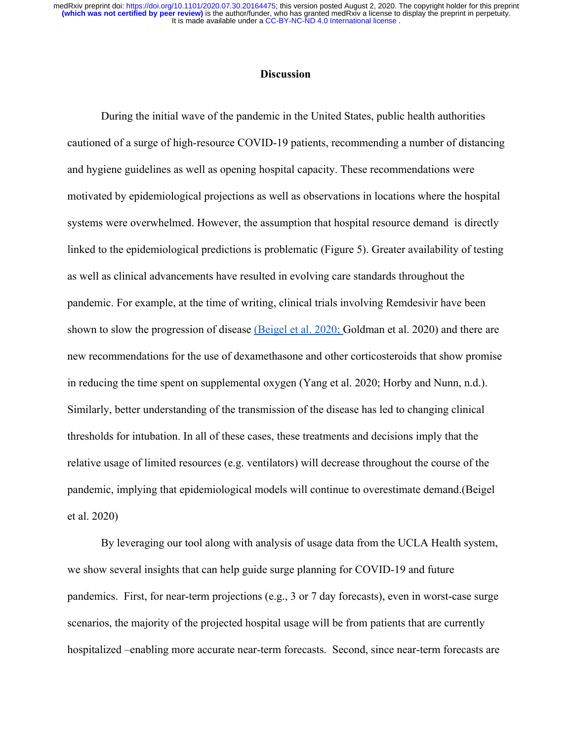### **Discussion**

During the initial wave of the pandemic in the United States, public health authorities cautioned of a surge of high-resource COVID-19 patients, recommending a number of distancing and hygiene guidelines as well as opening hospital capacity. These recommendations were motivated by epidemiological projections as well as observations in locations where the hospital systems were overwhelmed. However, the assumption that hospital resource demand is directly linked to the epidemiological predictions is problematic (Figure 5). Greater availability of testing as well as clinical advancements have resulted in evolving care standards throughout the pandemic. For example, at the time of writing, clinical trials involving Remdesivir have been shown to slow the progression of disease [\(Beigel et al. 2020;](https://paperpile.com/c/3ZjPue/i3vN) [Goldman et al. 2020\)](https://paperpile.com/c/3ZjPue/Wz6R) and there are new recommendations for the use of dexamethasone and other corticosteroids that show promise in reducing the time spent on supplemental oxygen [\(Yang et al. 2020; Horby and Nunn, n.d.\)](https://paperpile.com/c/3ZjPue/fCpl+UcPy). Similarly, better understanding of the transmission of the disease has led to changing clinical thresholds for intubation. In all of these cases, these treatments and decisions imply that the relative usage of limited resources (e.g. ventilators) will decrease throughout the course of the pandemic, implying that epidemiological models will continue to overestimate demand.[\(Beigel](https://paperpile.com/c/3ZjPue/i3vN) [et al. 2020\)](https://paperpile.com/c/3ZjPue/i3vN)

By leveraging our tool along with analysis of usage data from the UCLA Health system, we show several insights that can help guide surge planning for COVID-19 and future pandemics. First, for near-term projections (e.g., 3 or 7 day forecasts), even in worst-case surge scenarios, the majority of the projected hospital usage will be from patients that are currently hospitalized –enabling more accurate near-term forecasts. Second, since near-term forecasts are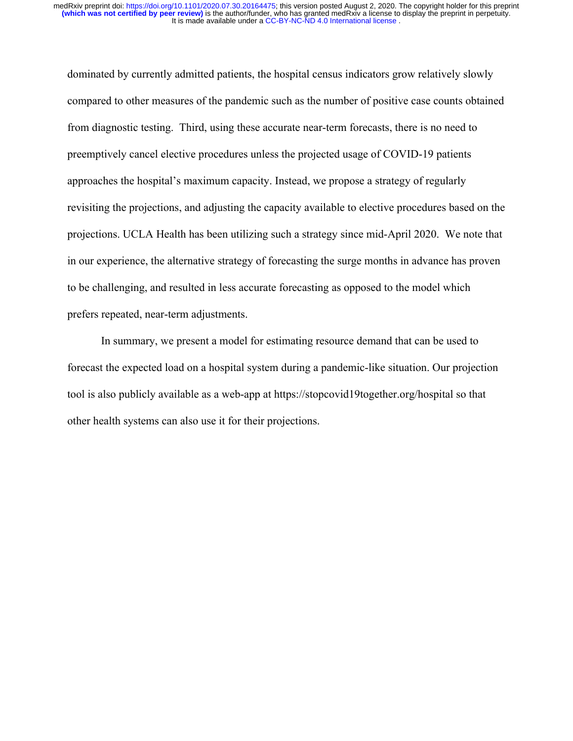dominated by currently admitted patients, the hospital census indicators grow relatively slowly compared to other measures of the pandemic such as the number of positive case counts obtained from diagnostic testing. Third, using these accurate near-term forecasts, there is no need to preemptively cancel elective procedures unless the projected usage of COVID-19 patients approaches the hospital's maximum capacity. Instead, we propose a strategy of regularly revisiting the projections, and adjusting the capacity available to elective procedures based on the projections. UCLA Health has been utilizing such a strategy since mid-April 2020. We note that in our experience, the alternative strategy of forecasting the surge months in advance has proven to be challenging, and resulted in less accurate forecasting as opposed to the model which prefers repeated, near-term adjustments.

In summary, we present a model for estimating resource demand that can be used to forecast the expected load on a hospital system during a pandemic-like situation. Our projection tool is also publicly available as a web-app at https://stopcovid19together.org/hospital so that other health systems can also use it for their projections.